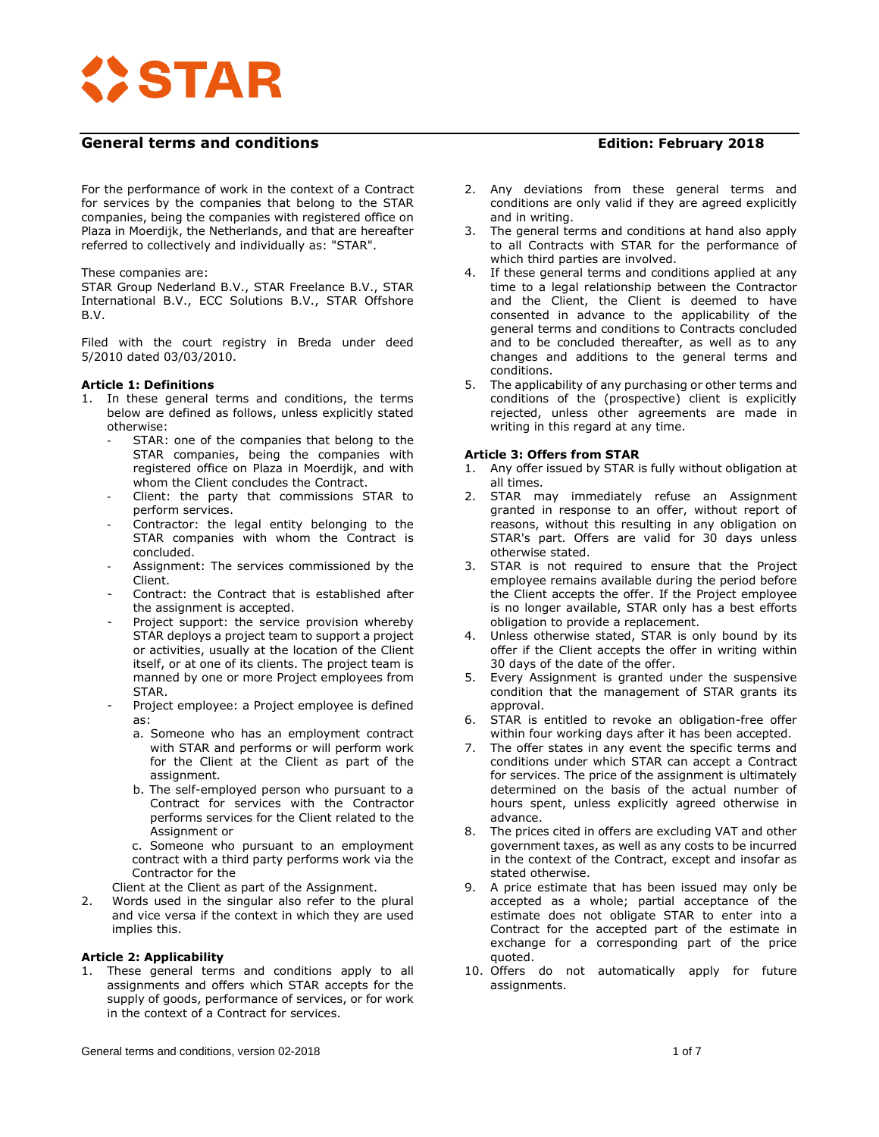

For the performance of work in the context of a Contract for services by the companies that belong to the STAR companies, being the companies with registered office on Plaza in Moerdijk, the Netherlands, and that are hereafter referred to collectively and individually as: "STAR".

#### These companies are:

STAR Group Nederland B.V., STAR Freelance B.V., STAR International B.V., ECC Solutions B.V., STAR Offshore B.V.

Filed with the court registry in Breda under deed 5/2010 dated 03/03/2010.

## **Article 1: Definitions**

- 1. In these general terms and conditions, the terms below are defined as follows, unless explicitly stated otherwise:
	- STAR: one of the companies that belong to the STAR companies, being the companies with registered office on Plaza in Moerdijk, and with whom the Client concludes the Contract.
	- Client: the party that commissions STAR to perform services.
	- Contractor: the legal entity belonging to the STAR companies with whom the Contract is concluded.
	- Assignment: The services commissioned by the Client.
	- Contract: the Contract that is established after the assignment is accepted.
	- Project support: the service provision whereby STAR deploys a project team to support a project or activities, usually at the location of the Client itself, or at one of its clients. The project team is manned by one or more Project employees from STAR.
	- Project employee: a Project employee is defined as:
		- a. Someone who has an employment contract with STAR and performs or will perform work for the Client at the Client as part of the assignment.
		- b. The self-employed person who pursuant to a Contract for services with the Contractor performs services for the Client related to the Assignment or
		- c. Someone who pursuant to an employment contract with a third party performs work via the Contractor for the

Client at the Client as part of the Assignment.

2. Words used in the singular also refer to the plural and vice versa if the context in which they are used implies this.

## **Article 2: Applicability**

1. These general terms and conditions apply to all assignments and offers which STAR accepts for the supply of goods, performance of services, or for work in the context of a Contract for services.

- 2. Any deviations from these general terms and conditions are only valid if they are agreed explicitly and in writing.
- 3. The general terms and conditions at hand also apply to all Contracts with STAR for the performance of which third parties are involved.
- 4. If these general terms and conditions applied at any time to a legal relationship between the Contractor and the Client, the Client is deemed to have consented in advance to the applicability of the general terms and conditions to Contracts concluded and to be concluded thereafter, as well as to any changes and additions to the general terms and conditions.
- 5. The applicability of any purchasing or other terms and conditions of the (prospective) client is explicitly rejected, unless other agreements are made in writing in this regard at any time.

#### **Article 3: Offers from STAR**

- 1. Any offer issued by STAR is fully without obligation at all times.
- STAR may immediately refuse an Assignment granted in response to an offer, without report of reasons, without this resulting in any obligation on STAR's part. Offers are valid for 30 days unless otherwise stated.
- 3. STAR is not required to ensure that the Project employee remains available during the period before the Client accepts the offer. If the Project employee is no longer available, STAR only has a best efforts obligation to provide a replacement.
- 4. Unless otherwise stated, STAR is only bound by its offer if the Client accepts the offer in writing within 30 days of the date of the offer.
- Every Assignment is granted under the suspensive condition that the management of STAR grants its approval.
- 6. STAR is entitled to revoke an obligation-free offer within four working days after it has been accepted.
- 7. The offer states in any event the specific terms and conditions under which STAR can accept a Contract for services. The price of the assignment is ultimately determined on the basis of the actual number of hours spent, unless explicitly agreed otherwise in advance.
- 8. The prices cited in offers are excluding VAT and other government taxes, as well as any costs to be incurred in the context of the Contract, except and insofar as stated otherwise.
- 9. A price estimate that has been issued may only be accepted as a whole; partial acceptance of the estimate does not obligate STAR to enter into a Contract for the accepted part of the estimate in exchange for a corresponding part of the price quoted.
- 10. Offers do not automatically apply for future assignments.

General terms and conditions, version 02-2018 1 of 7 and 2012 1 of 7 and 2012 1 of 7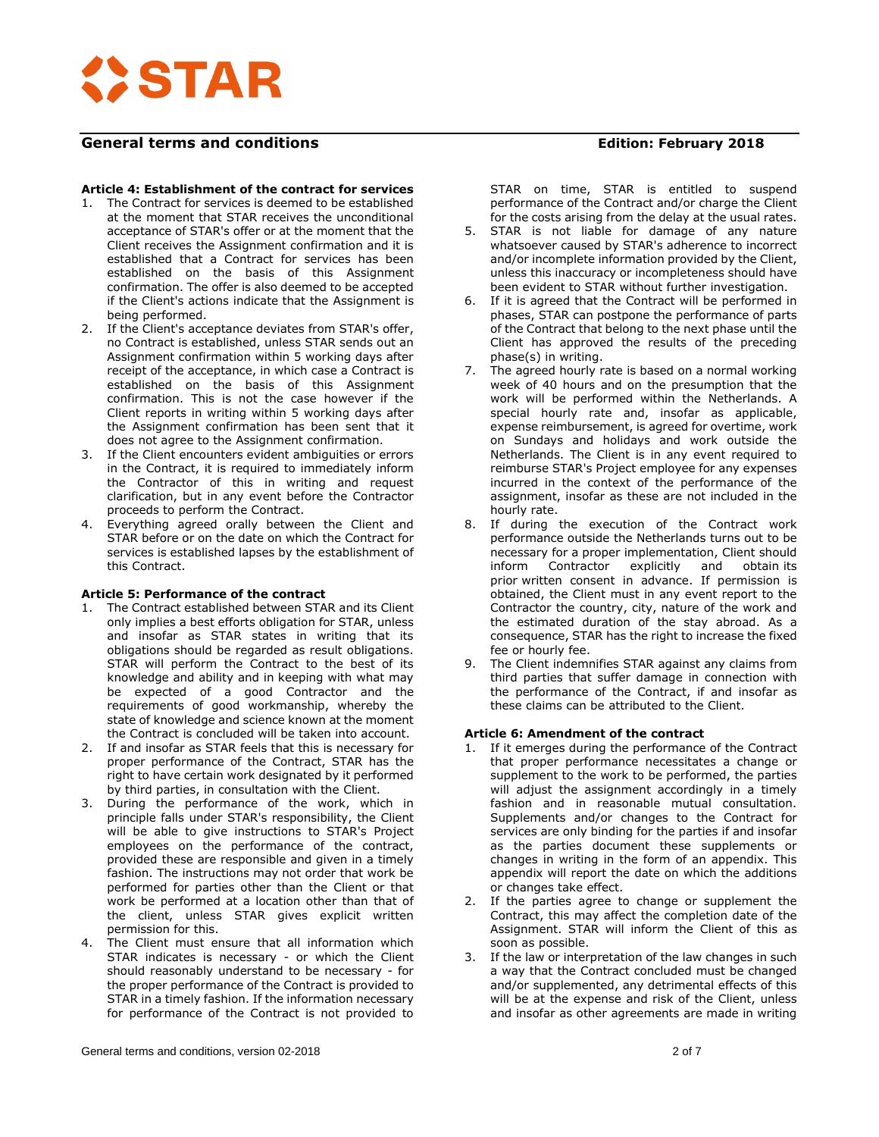

# **Article 4: Establishment of the contract for services**

- 1. The Contract for services is deemed to be established at the moment that STAR receives the unconditional acceptance of STAR's offer or at the moment that the Client receives the Assignment confirmation and it is established that a Contract for services has been established on the basis of this Assignment confirmation. The offer is also deemed to be accepted if the Client's actions indicate that the Assignment is being performed.
- 2. If the Client's acceptance deviates from STAR's offer, no Contract is established, unless STAR sends out an Assignment confirmation within 5 working days after receipt of the acceptance, in which case a Contract is established on the basis of this Assignment confirmation. This is not the case however if the Client reports in writing within 5 working days after the Assignment confirmation has been sent that it does not agree to the Assignment confirmation.
- 3. If the Client encounters evident ambiguities or errors in the Contract, it is required to immediately inform the Contractor of this in writing and request clarification, but in any event before the Contractor proceeds to perform the Contract.
- 4. Everything agreed orally between the Client and STAR before or on the date on which the Contract for services is established lapses by the establishment of this Contract.

## **Article 5: Performance of the contract**

- 1. The Contract established between STAR and its Client only implies a best efforts obligation for STAR, unless and insofar as STAR states in writing that its obligations should be regarded as result obligations. STAR will perform the Contract to the best of its knowledge and ability and in keeping with what may be expected of a good Contractor and the requirements of good workmanship, whereby the state of knowledge and science known at the moment the Contract is concluded will be taken into account.
- 2. If and insofar as STAR feels that this is necessary for proper performance of the Contract, STAR has the right to have certain work designated by it performed by third parties, in consultation with the Client.
- During the performance of the work, which in principle falls under STAR's responsibility, the Client will be able to give instructions to STAR's Project employees on the performance of the contract, provided these are responsible and given in a timely fashion. The instructions may not order that work be performed for parties other than the Client or that work be performed at a location other than that of the client, unless STAR gives explicit written permission for this.
- 4. The Client must ensure that all information which STAR indicates is necessary - or which the Client should reasonably understand to be necessary - for the proper performance of the Contract is provided to STAR in a timely fashion. If the information necessary for performance of the Contract is not provided to

STAR on time, STAR is entitled to suspend performance of the Contract and/or charge the Client for the costs arising from the delay at the usual rates.

- 5. STAR is not liable for damage of any nature whatsoever caused by STAR's adherence to incorrect and/or incomplete information provided by the Client, unless this inaccuracy or incompleteness should have been evident to STAR without further investigation.
- 6. If it is agreed that the Contract will be performed in phases, STAR can postpone the performance of parts of the Contract that belong to the next phase until the Client has approved the results of the preceding phase(s) in writing.
- 7. The agreed hourly rate is based on a normal working week of 40 hours and on the presumption that the work will be performed within the Netherlands. A special hourly rate and, insofar as applicable, expense reimbursement, is agreed for overtime, work on Sundays and holidays and work outside the Netherlands. The Client is in any event required to reimburse STAR's Project employee for any expenses incurred in the context of the performance of the assignment, insofar as these are not included in the hourly rate.
- 8. If during the execution of the Contract work performance outside the Netherlands turns out to be necessary for a proper implementation, Client should inform Contractor explicitly and obtain its prior written consent in advance. If permission is obtained, the Client must in any event report to the Contractor the country, city, nature of the work and the estimated duration of the stay abroad. As a consequence, STAR has the right to increase the fixed fee or hourly fee.
- 9. The Client indemnifies STAR against any claims from third parties that suffer damage in connection with the performance of the Contract, if and insofar as these claims can be attributed to the Client.

#### **Article 6: Amendment of the contract**

- 1. If it emerges during the performance of the Contract that proper performance necessitates a change or supplement to the work to be performed, the parties will adjust the assignment accordingly in a timely fashion and in reasonable mutual consultation. Supplements and/or changes to the Contract for services are only binding for the parties if and insofar as the parties document these supplements or changes in writing in the form of an appendix. This appendix will report the date on which the additions or changes take effect.
- 2. If the parties agree to change or supplement the Contract, this may affect the completion date of the Assignment. STAR will inform the Client of this as soon as possible.
- 3. If the law or interpretation of the law changes in such a way that the Contract concluded must be changed and/or supplemented, any detrimental effects of this will be at the expense and risk of the Client, unless and insofar as other agreements are made in writing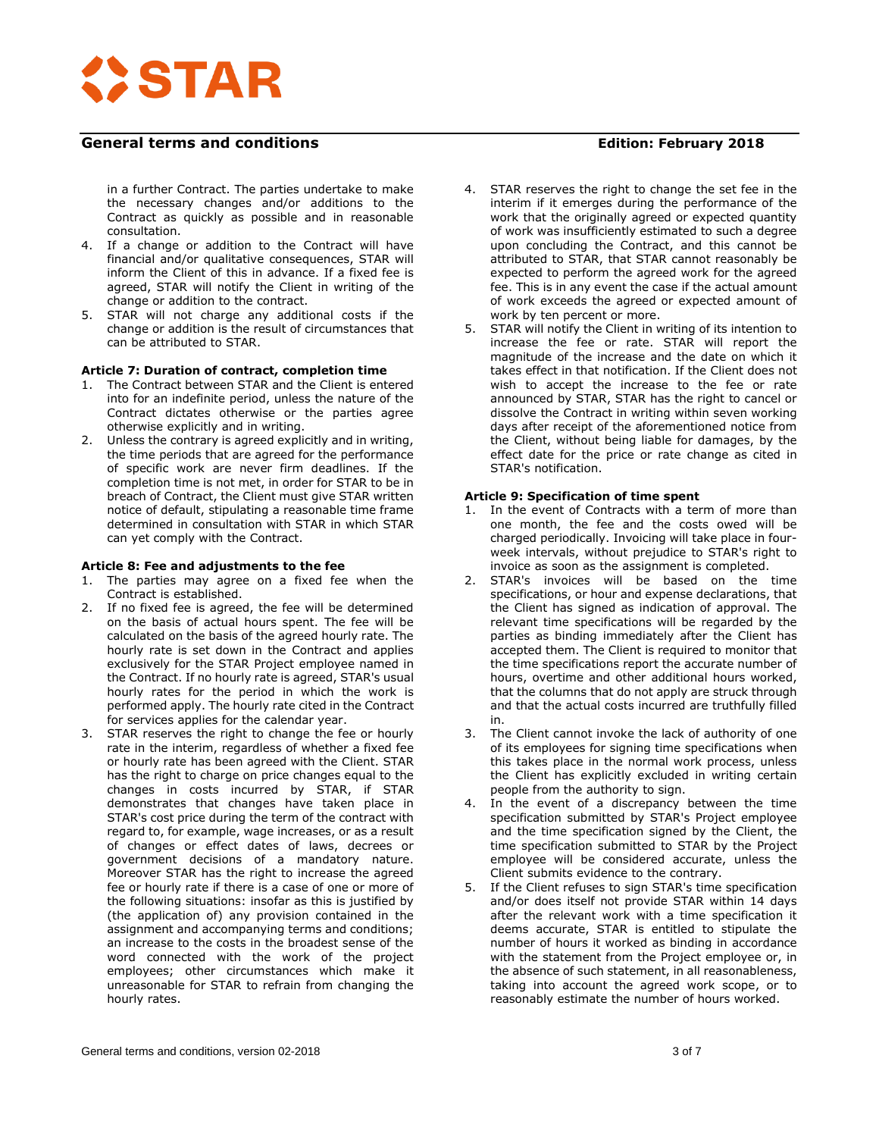

in a further Contract. The parties undertake to make the necessary changes and/or additions to the Contract as quickly as possible and in reasonable consultation.

- 4. If a change or addition to the Contract will have financial and/or qualitative consequences, STAR will inform the Client of this in advance. If a fixed fee is agreed, STAR will notify the Client in writing of the change or addition to the contract.
- 5. STAR will not charge any additional costs if the change or addition is the result of circumstances that can be attributed to STAR.

## **Article 7: Duration of contract, completion time**

- 1. The Contract between STAR and the Client is entered into for an indefinite period, unless the nature of the Contract dictates otherwise or the parties agree otherwise explicitly and in writing.
- 2. Unless the contrary is agreed explicitly and in writing, the time periods that are agreed for the performance of specific work are never firm deadlines. If the completion time is not met, in order for STAR to be in breach of Contract, the Client must give STAR written notice of default, stipulating a reasonable time frame determined in consultation with STAR in which STAR can yet comply with the Contract.

# **Article 8: Fee and adjustments to the fee**

- 1. The parties may agree on a fixed fee when the Contract is established.
- 2. If no fixed fee is agreed, the fee will be determined on the basis of actual hours spent. The fee will be calculated on the basis of the agreed hourly rate. The hourly rate is set down in the Contract and applies exclusively for the STAR Project employee named in the Contract. If no hourly rate is agreed, STAR's usual hourly rates for the period in which the work is performed apply. The hourly rate cited in the Contract for services applies for the calendar year.
- 3. STAR reserves the right to change the fee or hourly rate in the interim, regardless of whether a fixed fee or hourly rate has been agreed with the Client. STAR has the right to charge on price changes equal to the changes in costs incurred by STAR, if STAR demonstrates that changes have taken place in STAR's cost price during the term of the contract with regard to, for example, wage increases, or as a result of changes or effect dates of laws, decrees or government decisions of a mandatory nature. Moreover STAR has the right to increase the agreed fee or hourly rate if there is a case of one or more of the following situations: insofar as this is justified by (the application of) any provision contained in the assignment and accompanying terms and conditions; an increase to the costs in the broadest sense of the word connected with the work of the project employees; other circumstances which make it unreasonable for STAR to refrain from changing the hourly rates.

- 4. STAR reserves the right to change the set fee in the interim if it emerges during the performance of the work that the originally agreed or expected quantity of work was insufficiently estimated to such a degree upon concluding the Contract, and this cannot be attributed to STAR, that STAR cannot reasonably be expected to perform the agreed work for the agreed fee. This is in any event the case if the actual amount of work exceeds the agreed or expected amount of work by ten percent or more.
- 5. STAR will notify the Client in writing of its intention to increase the fee or rate. STAR will report the magnitude of the increase and the date on which it takes effect in that notification. If the Client does not wish to accept the increase to the fee or rate announced by STAR, STAR has the right to cancel or dissolve the Contract in writing within seven working days after receipt of the aforementioned notice from the Client, without being liable for damages, by the effect date for the price or rate change as cited in STAR's notification.

## **Article 9: Specification of time spent**

- 1. In the event of Contracts with a term of more than one month, the fee and the costs owed will be charged periodically. Invoicing will take place in fourweek intervals, without prejudice to STAR's right to invoice as soon as the assignment is completed.
- 2. STAR's invoices will be based on the time specifications, or hour and expense declarations, that the Client has signed as indication of approval. The relevant time specifications will be regarded by the parties as binding immediately after the Client has accepted them. The Client is required to monitor that the time specifications report the accurate number of hours, overtime and other additional hours worked, that the columns that do not apply are struck through and that the actual costs incurred are truthfully filled in.
- 3. The Client cannot invoke the lack of authority of one of its employees for signing time specifications when this takes place in the normal work process, unless the Client has explicitly excluded in writing certain people from the authority to sign.
- 4. In the event of a discrepancy between the time specification submitted by STAR's Project employee and the time specification signed by the Client, the time specification submitted to STAR by the Project employee will be considered accurate, unless the Client submits evidence to the contrary.
- 5. If the Client refuses to sign STAR's time specification and/or does itself not provide STAR within 14 days after the relevant work with a time specification it deems accurate, STAR is entitled to stipulate the number of hours it worked as binding in accordance with the statement from the Project employee or, in the absence of such statement, in all reasonableness, taking into account the agreed work scope, or to reasonably estimate the number of hours worked.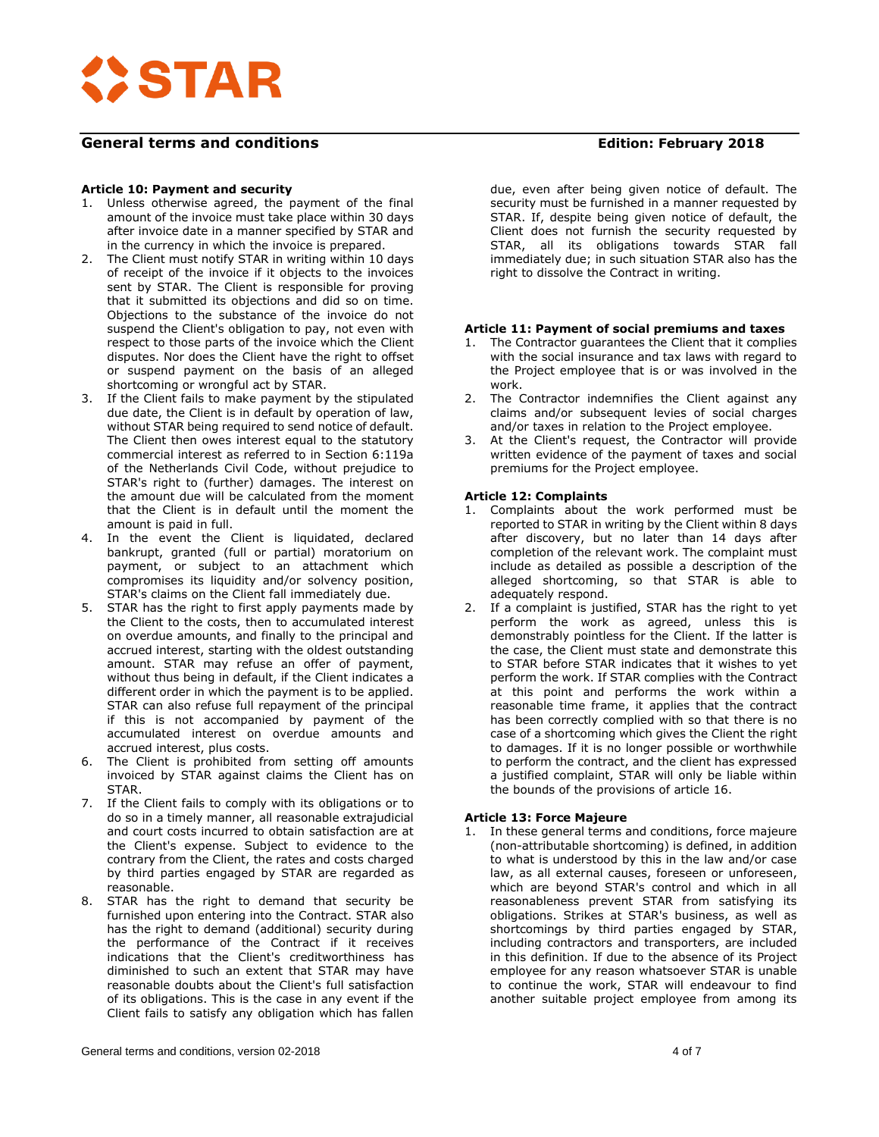

## **Article 10: Payment and security**

- 1. Unless otherwise agreed, the payment of the final amount of the invoice must take place within 30 days after invoice date in a manner specified by STAR and in the currency in which the invoice is prepared.
- 2. The Client must notify STAR in writing within 10 days of receipt of the invoice if it objects to the invoices sent by STAR. The Client is responsible for proving that it submitted its objections and did so on time. Objections to the substance of the invoice do not suspend the Client's obligation to pay, not even with respect to those parts of the invoice which the Client disputes. Nor does the Client have the right to offset or suspend payment on the basis of an alleged shortcoming or wrongful act by STAR.
- 3. If the Client fails to make payment by the stipulated due date, the Client is in default by operation of law, without STAR being required to send notice of default. The Client then owes interest equal to the statutory commercial interest as referred to in Section 6:119a of the Netherlands Civil Code, without prejudice to STAR's right to (further) damages. The interest on the amount due will be calculated from the moment that the Client is in default until the moment the amount is paid in full.
- In the event the Client is liquidated, declared bankrupt, granted (full or partial) moratorium on payment, or subject to an attachment which compromises its liquidity and/or solvency position, STAR's claims on the Client fall immediately due.
- 5. STAR has the right to first apply payments made by the Client to the costs, then to accumulated interest on overdue amounts, and finally to the principal and accrued interest, starting with the oldest outstanding amount. STAR may refuse an offer of payment, without thus being in default, if the Client indicates a different order in which the payment is to be applied. STAR can also refuse full repayment of the principal if this is not accompanied by payment of the accumulated interest on overdue amounts and accrued interest, plus costs.
- 6. The Client is prohibited from setting off amounts invoiced by STAR against claims the Client has on STAR.
- 7. If the Client fails to comply with its obligations or to do so in a timely manner, all reasonable extrajudicial and court costs incurred to obtain satisfaction are at the Client's expense. Subject to evidence to the contrary from the Client, the rates and costs charged by third parties engaged by STAR are regarded as reasonable.
- 8. STAR has the right to demand that security be furnished upon entering into the Contract. STAR also has the right to demand (additional) security during the performance of the Contract if it receives indications that the Client's creditworthiness has diminished to such an extent that STAR may have reasonable doubts about the Client's full satisfaction of its obligations. This is the case in any event if the Client fails to satisfy any obligation which has fallen

## due, even after being given notice of default. The security must be furnished in a manner requested by STAR. If, despite being given notice of default, the Client does not furnish the security requested by STAR, all its obligations towards STAR fall immediately due; in such situation STAR also has the

#### **Article 11: Payment of social premiums and taxes**

right to dissolve the Contract in writing.

- 1. The Contractor guarantees the Client that it complies with the social insurance and tax laws with regard to the Project employee that is or was involved in the work.
- 2. The Contractor indemnifies the Client against any claims and/or subsequent levies of social charges and/or taxes in relation to the Project employee.
- 3. At the Client's request, the Contractor will provide written evidence of the payment of taxes and social premiums for the Project employee.

## **Article 12: Complaints**

- 1. Complaints about the work performed must be reported to STAR in writing by the Client within 8 days after discovery, but no later than 14 days after completion of the relevant work. The complaint must include as detailed as possible a description of the alleged shortcoming, so that STAR is able to adequately respond.
- 2. If a complaint is justified, STAR has the right to yet perform the work as agreed, unless this is demonstrably pointless for the Client. If the latter is the case, the Client must state and demonstrate this to STAR before STAR indicates that it wishes to yet perform the work. If STAR complies with the Contract at this point and performs the work within a reasonable time frame, it applies that the contract has been correctly complied with so that there is no case of a shortcoming which gives the Client the right to damages. If it is no longer possible or worthwhile to perform the contract, and the client has expressed a justified complaint, STAR will only be liable within the bounds of the provisions of article 16.

#### **Article 13: Force Majeure**

1. In these general terms and conditions, force majeure (non-attributable shortcoming) is defined, in addition to what is understood by this in the law and/or case law, as all external causes, foreseen or unforeseen, which are beyond STAR's control and which in all reasonableness prevent STAR from satisfying its obligations. Strikes at STAR's business, as well as shortcomings by third parties engaged by STAR, including contractors and transporters, are included in this definition. If due to the absence of its Project employee for any reason whatsoever STAR is unable to continue the work, STAR will endeavour to find another suitable project employee from among its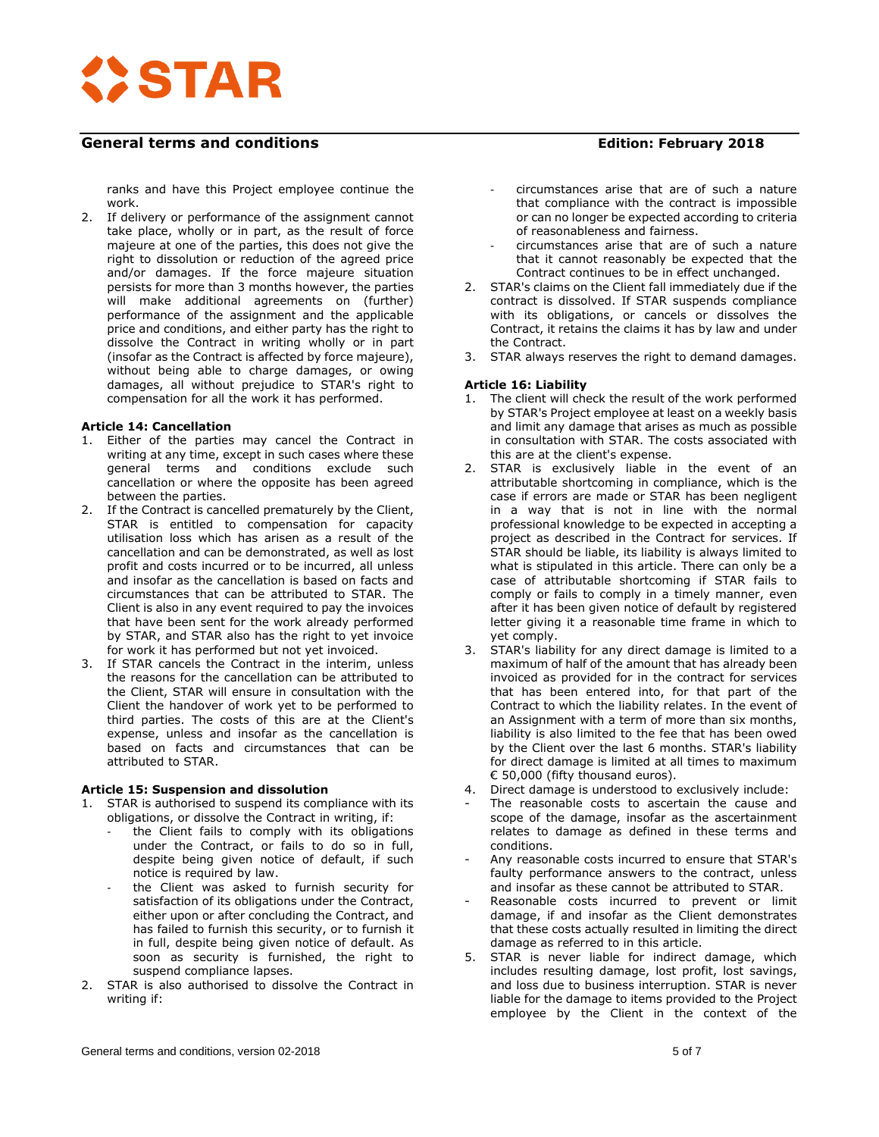

ranks and have this Project employee continue the work.

2. If delivery or performance of the assignment cannot take place, wholly or in part, as the result of force majeure at one of the parties, this does not give the right to dissolution or reduction of the agreed price and/or damages. If the force majeure situation persists for more than 3 months however, the parties will make additional agreements on (further) performance of the assignment and the applicable price and conditions, and either party has the right to dissolve the Contract in writing wholly or in part (insofar as the Contract is affected by force majeure), without being able to charge damages, or owing damages, all without prejudice to STAR's right to compensation for all the work it has performed.

## **Article 14: Cancellation**

- 1. Either of the parties may cancel the Contract in writing at any time, except in such cases where these general terms and conditions exclude such cancellation or where the opposite has been agreed between the parties.
- 2. If the Contract is cancelled prematurely by the Client, STAR is entitled to compensation for capacity utilisation loss which has arisen as a result of the cancellation and can be demonstrated, as well as lost profit and costs incurred or to be incurred, all unless and insofar as the cancellation is based on facts and circumstances that can be attributed to STAR. The Client is also in any event required to pay the invoices that have been sent for the work already performed by STAR, and STAR also has the right to yet invoice for work it has performed but not yet invoiced.
- 3. If STAR cancels the Contract in the interim, unless the reasons for the cancellation can be attributed to the Client, STAR will ensure in consultation with the Client the handover of work yet to be performed to third parties. The costs of this are at the Client's expense, unless and insofar as the cancellation is based on facts and circumstances that can be attributed to STAR.

## **Article 15: Suspension and dissolution**

- STAR is authorised to suspend its compliance with its obligations, or dissolve the Contract in writing, if:
	- the Client fails to comply with its obligations under the Contract, or fails to do so in full, despite being given notice of default, if such notice is required by law.
	- the Client was asked to furnish security for satisfaction of its obligations under the Contract, either upon or after concluding the Contract, and has failed to furnish this security, or to furnish it in full, despite being given notice of default. As soon as security is furnished, the right to suspend compliance lapses.
- 2. STAR is also authorised to dissolve the Contract in writing if:

- circumstances arise that are of such a nature that compliance with the contract is impossible or can no longer be expected according to criteria of reasonableness and fairness.
- circumstances arise that are of such a nature that it cannot reasonably be expected that the Contract continues to be in effect unchanged.
- 2. STAR's claims on the Client fall immediately due if the contract is dissolved. If STAR suspends compliance with its obligations, or cancels or dissolves the Contract, it retains the claims it has by law and under the Contract.
- 3. STAR always reserves the right to demand damages.

# **Article 16: Liability**

- 1. The client will check the result of the work performed by STAR's Project employee at least on a weekly basis and limit any damage that arises as much as possible in consultation with STAR. The costs associated with this are at the client's expense.
- 2. STAR is exclusively liable in the event of an attributable shortcoming in compliance, which is the case if errors are made or STAR has been negligent in a way that is not in line with the normal professional knowledge to be expected in accepting a project as described in the Contract for services. If STAR should be liable, its liability is always limited to what is stipulated in this article. There can only be a case of attributable shortcoming if STAR fails to comply or fails to comply in a timely manner, even after it has been given notice of default by registered letter giving it a reasonable time frame in which to yet comply.
- 3. STAR's liability for any direct damage is limited to a maximum of half of the amount that has already been invoiced as provided for in the contract for services that has been entered into, for that part of the Contract to which the liability relates. In the event of an Assignment with a term of more than six months, liability is also limited to the fee that has been owed by the Client over the last 6 months. STAR's liability for direct damage is limited at all times to maximum € 50,000 (fifty thousand euros).
- 4. Direct damage is understood to exclusively include:
- The reasonable costs to ascertain the cause and scope of the damage, insofar as the ascertainment relates to damage as defined in these terms and conditions.
- Any reasonable costs incurred to ensure that STAR's faulty performance answers to the contract, unless and insofar as these cannot be attributed to STAR.
- Reasonable costs incurred to prevent or limit damage, if and insofar as the Client demonstrates that these costs actually resulted in limiting the direct damage as referred to in this article.
- 5. STAR is never liable for indirect damage, which includes resulting damage, lost profit, lost savings, and loss due to business interruption. STAR is never liable for the damage to items provided to the Project employee by the Client in the context of the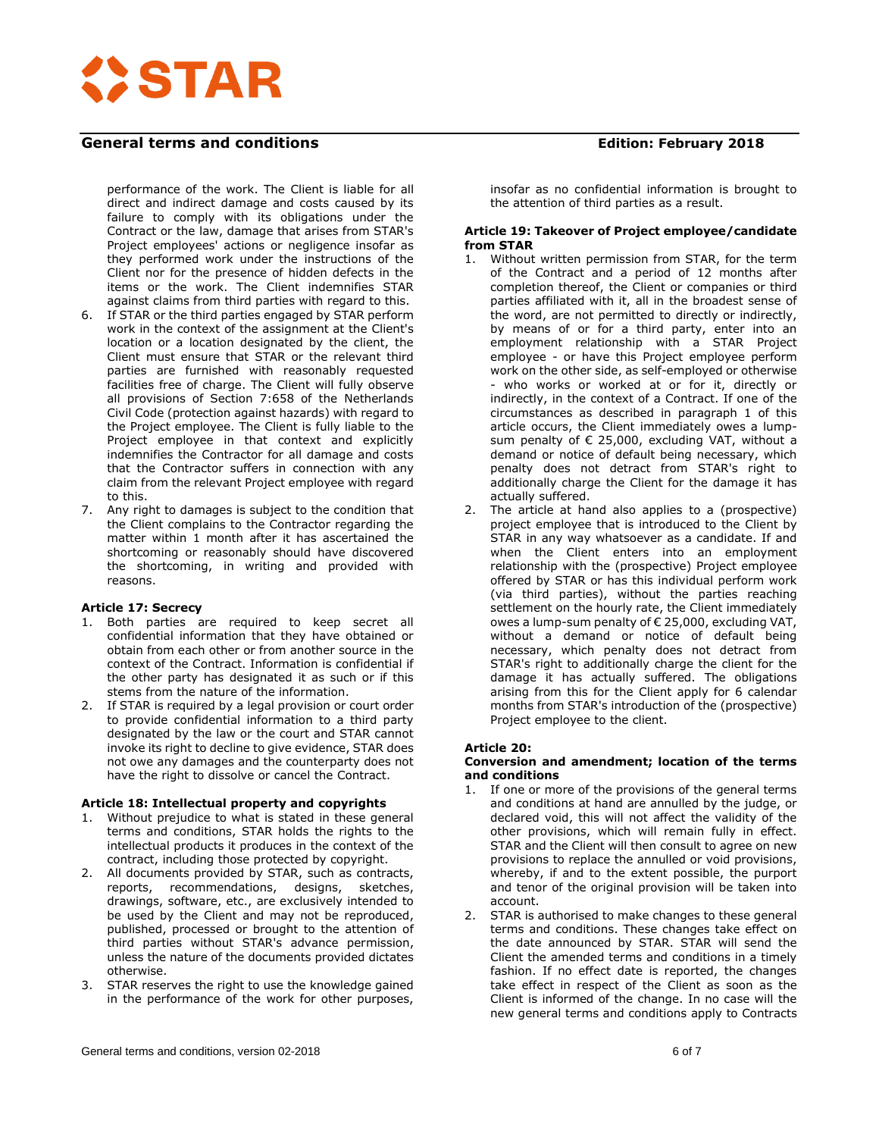

performance of the work. The Client is liable for all direct and indirect damage and costs caused by its failure to comply with its obligations under the Contract or the law, damage that arises from STAR's Project employees' actions or negligence insofar as they performed work under the instructions of the Client nor for the presence of hidden defects in the items or the work. The Client indemnifies STAR against claims from third parties with regard to this.

- 6. If STAR or the third parties engaged by STAR perform work in the context of the assignment at the Client's location or a location designated by the client, the Client must ensure that STAR or the relevant third parties are furnished with reasonably requested facilities free of charge. The Client will fully observe all provisions of Section 7:658 of the Netherlands Civil Code (protection against hazards) with regard to the Project employee. The Client is fully liable to the Project employee in that context and explicitly indemnifies the Contractor for all damage and costs that the Contractor suffers in connection with any claim from the relevant Project employee with regard to this.
- 7. Any right to damages is subject to the condition that the Client complains to the Contractor regarding the matter within 1 month after it has ascertained the shortcoming or reasonably should have discovered the shortcoming, in writing and provided with reasons.

#### **Article 17: Secrecy**

- 1. Both parties are required to keep secret all confidential information that they have obtained or obtain from each other or from another source in the context of the Contract. Information is confidential if the other party has designated it as such or if this stems from the nature of the information.
- 2. If STAR is required by a legal provision or court order to provide confidential information to a third party designated by the law or the court and STAR cannot invoke its right to decline to give evidence, STAR does not owe any damages and the counterparty does not have the right to dissolve or cancel the Contract.

#### **Article 18: Intellectual property and copyrights**

- 1. Without prejudice to what is stated in these general terms and conditions, STAR holds the rights to the intellectual products it produces in the context of the contract, including those protected by copyright.
- 2. All documents provided by STAR, such as contracts, reports, recommendations, designs, sketches, drawings, software, etc., are exclusively intended to be used by the Client and may not be reproduced, published, processed or brought to the attention of third parties without STAR's advance permission, unless the nature of the documents provided dictates otherwise.
- 3. STAR reserves the right to use the knowledge gained in the performance of the work for other purposes,

insofar as no confidential information is brought to the attention of third parties as a result.

#### **Article 19: Takeover of Project employee/candidate from STAR**

- 1. Without written permission from STAR, for the term of the Contract and a period of 12 months after completion thereof, the Client or companies or third parties affiliated with it, all in the broadest sense of the word, are not permitted to directly or indirectly, by means of or for a third party, enter into an employment relationship with a STAR Project employee - or have this Project employee perform work on the other side, as self-employed or otherwise - who works or worked at or for it, directly or indirectly, in the context of a Contract. If one of the circumstances as described in paragraph 1 of this article occurs, the Client immediately owes a lumpsum penalty of € 25,000, excluding VAT, without a demand or notice of default being necessary, which penalty does not detract from STAR's right to additionally charge the Client for the damage it has actually suffered.
- 2. The article at hand also applies to a (prospective) project employee that is introduced to the Client by STAR in any way whatsoever as a candidate. If and when the Client enters into an employment relationship with the (prospective) Project employee offered by STAR or has this individual perform work (via third parties), without the parties reaching settlement on the hourly rate, the Client immediately owes a lump-sum penalty of € 25,000, excluding VAT, without a demand or notice of default being necessary, which penalty does not detract from STAR's right to additionally charge the client for the damage it has actually suffered. The obligations arising from this for the Client apply for 6 calendar months from STAR's introduction of the (prospective) Project employee to the client.

#### **Article 20:**

#### **Conversion and amendment; location of the terms and conditions**

- 1. If one or more of the provisions of the general terms and conditions at hand are annulled by the judge, or declared void, this will not affect the validity of the other provisions, which will remain fully in effect. STAR and the Client will then consult to agree on new provisions to replace the annulled or void provisions, whereby, if and to the extent possible, the purport and tenor of the original provision will be taken into account.
- 2. STAR is authorised to make changes to these general terms and conditions. These changes take effect on the date announced by STAR. STAR will send the Client the amended terms and conditions in a timely fashion. If no effect date is reported, the changes take effect in respect of the Client as soon as the Client is informed of the change. In no case will the new general terms and conditions apply to Contracts